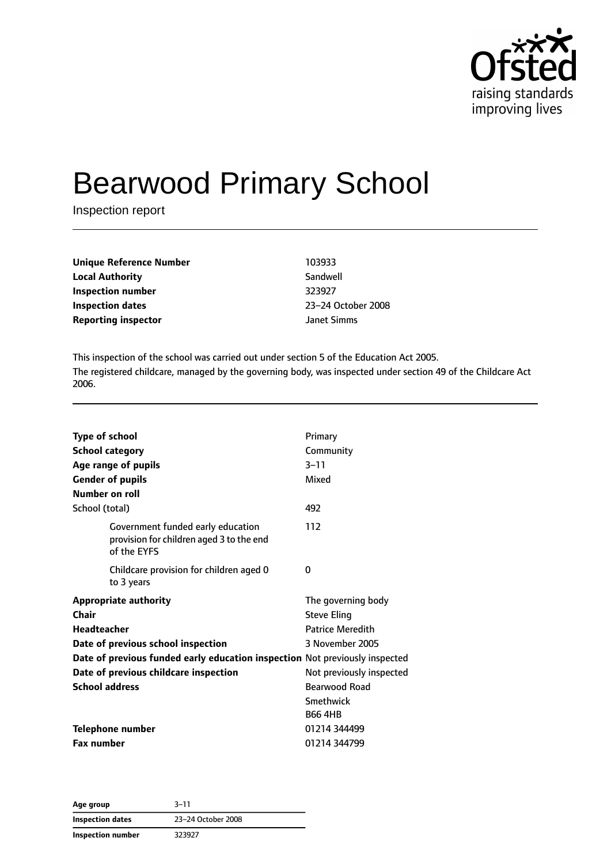

# Bearwood Primary School

Inspection report

| <b>Unique Reference Number</b> | 103933      |
|--------------------------------|-------------|
| <b>Local Authority</b>         | Sandwell    |
| Inspection number              | 323927      |
| <b>Inspection dates</b>        | 23-24 Octob |
| <b>Reporting inspector</b>     | Janet Simms |

**Local Authority** Sandwell **Inspection dates** 23–24 October 2008

This inspection of the school was carried out under section 5 of the Education Act 2005. The registered childcare, managed by the governing body, was inspected under section 49 of the Childcare Act 2006.

| <b>Type of school</b><br><b>School category</b><br>Age range of pupils                       | Primary<br>Community<br>$3 - 11$ |
|----------------------------------------------------------------------------------------------|----------------------------------|
| <b>Gender of pupils</b>                                                                      | Mixed                            |
| Number on roll                                                                               |                                  |
| School (total)                                                                               | 492                              |
| Government funded early education<br>provision for children aged 3 to the end<br>of the EYFS | 112                              |
| Childcare provision for children aged 0<br>to 3 years                                        | 0                                |
| <b>Appropriate authority</b>                                                                 | The governing body               |
| Chair                                                                                        | <b>Steve Eling</b>               |
| <b>Headteacher</b>                                                                           | <b>Patrice Meredith</b>          |
| Date of previous school inspection                                                           | 3 November 2005                  |
| Date of previous funded early education inspection Not previously inspected                  |                                  |
| Date of previous childcare inspection                                                        | Not previously inspected         |
| <b>School address</b>                                                                        | <b>Bearwood Road</b>             |
|                                                                                              | <b>Smethwick</b>                 |
|                                                                                              | <b>B66 4HB</b>                   |
| <b>Telephone number</b>                                                                      | 01214 344499                     |
| <b>Fax number</b>                                                                            | 01214 344799                     |

**Age group** 3–11 **Inspection dates** 23–24 October 2008 **Inspection number** 323927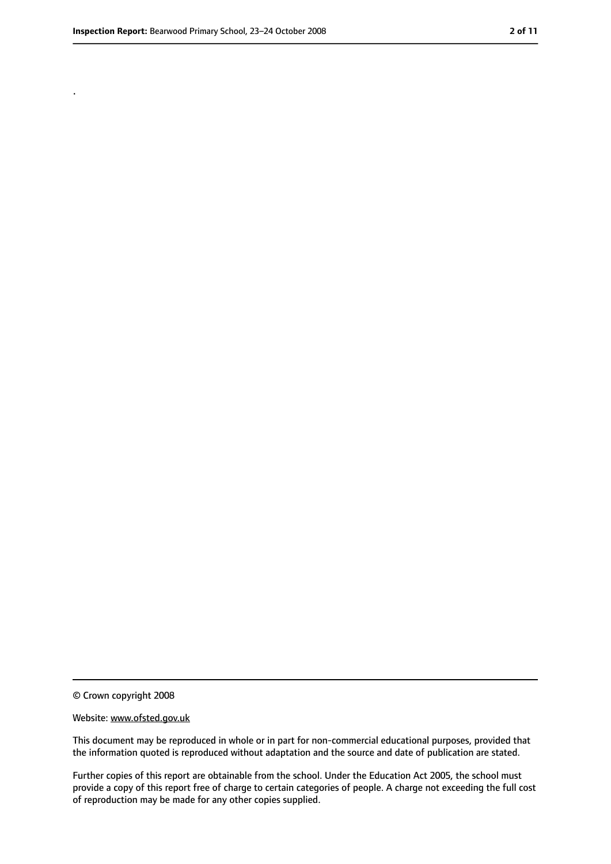.

<sup>©</sup> Crown copyright 2008

Website: www.ofsted.gov.uk

This document may be reproduced in whole or in part for non-commercial educational purposes, provided that the information quoted is reproduced without adaptation and the source and date of publication are stated.

Further copies of this report are obtainable from the school. Under the Education Act 2005, the school must provide a copy of this report free of charge to certain categories of people. A charge not exceeding the full cost of reproduction may be made for any other copies supplied.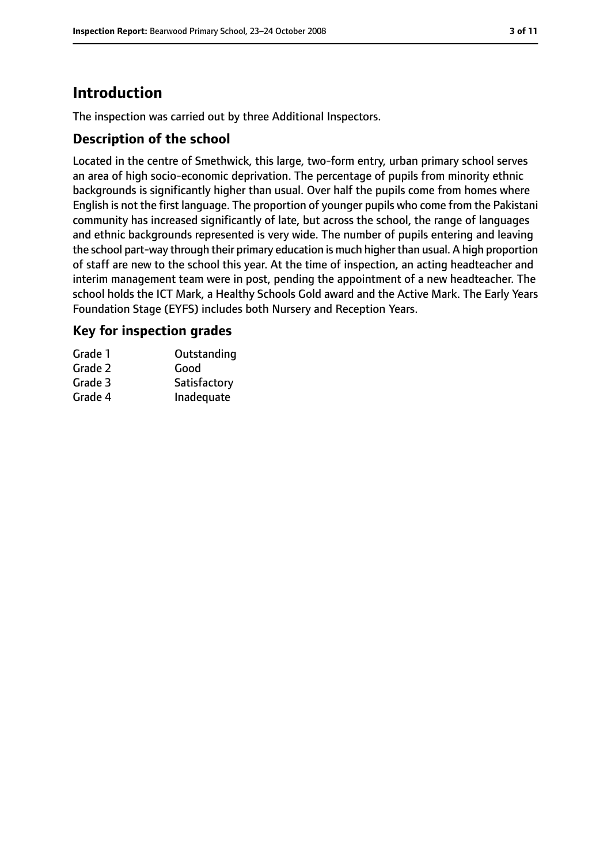### **Introduction**

The inspection was carried out by three Additional Inspectors.

#### **Description of the school**

Located in the centre of Smethwick, this large, two-form entry, urban primary school serves an area of high socio-economic deprivation. The percentage of pupils from minority ethnic backgrounds is significantly higher than usual. Over half the pupils come from homes where English is not the first language. The proportion of younger pupils who come from the Pakistani community has increased significantly of late, but across the school, the range of languages and ethnic backgrounds represented is very wide. The number of pupils entering and leaving the school part-way through their primary education is much higher than usual. A high proportion of staff are new to the school this year. At the time of inspection, an acting headteacher and interim management team were in post, pending the appointment of a new headteacher. The school holds the ICT Mark, a Healthy Schools Gold award and the Active Mark. The Early Years Foundation Stage (EYFS) includes both Nursery and Reception Years.

#### **Key for inspection grades**

| Grade 1 | Outstanding  |
|---------|--------------|
| Grade 2 | Good         |
| Grade 3 | Satisfactory |
| Grade 4 | Inadequate   |
|         |              |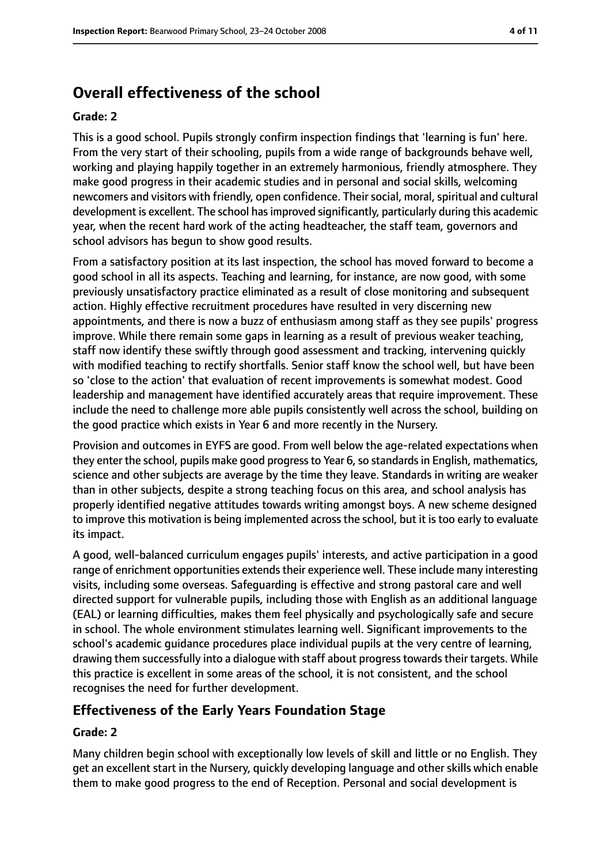### **Overall effectiveness of the school**

#### **Grade: 2**

This is a good school. Pupils strongly confirm inspection findings that 'learning is fun' here. From the very start of their schooling, pupils from a wide range of backgrounds behave well, working and playing happily together in an extremely harmonious, friendly atmosphere. They make good progress in their academic studies and in personal and social skills, welcoming newcomers and visitors with friendly, open confidence. Their social, moral, spiritual and cultural development is excellent. The school has improved significantly, particularly during this academic year, when the recent hard work of the acting headteacher, the staff team, governors and school advisors has begun to show good results.

From a satisfactory position at its last inspection, the school has moved forward to become a good school in all its aspects. Teaching and learning, for instance, are now good, with some previously unsatisfactory practice eliminated as a result of close monitoring and subsequent action. Highly effective recruitment procedures have resulted in very discerning new appointments, and there is now a buzz of enthusiasm among staff as they see pupils' progress improve. While there remain some gaps in learning as a result of previous weaker teaching, staff now identify these swiftly through good assessment and tracking, intervening quickly with modified teaching to rectify shortfalls. Senior staff know the school well, but have been so 'close to the action' that evaluation of recent improvements is somewhat modest. Good leadership and management have identified accurately areas that require improvement. These include the need to challenge more able pupils consistently well across the school, building on the good practice which exists in Year 6 and more recently in the Nursery.

Provision and outcomes in EYFS are good. From well below the age-related expectations when they enter the school, pupils make good progress to Year 6, so standards in English, mathematics, science and other subjects are average by the time they leave. Standards in writing are weaker than in other subjects, despite a strong teaching focus on this area, and school analysis has properly identified negative attitudes towards writing amongst boys. A new scheme designed to improve this motivation is being implemented across the school, but it is too early to evaluate its impact.

A good, well-balanced curriculum engages pupils' interests, and active participation in a good range of enrichment opportunities extends their experience well. These include many interesting visits, including some overseas. Safeguarding is effective and strong pastoral care and well directed support for vulnerable pupils, including those with English as an additional language (EAL) or learning difficulties, makes them feel physically and psychologically safe and secure in school. The whole environment stimulates learning well. Significant improvements to the school's academic guidance procedures place individual pupils at the very centre of learning, drawing them successfully into a dialogue with staff about progress towards their targets. While this practice is excellent in some areas of the school, it is not consistent, and the school recognises the need for further development.

#### **Effectiveness of the Early Years Foundation Stage**

#### **Grade: 2**

Many children begin school with exceptionally low levels of skill and little or no English. They get an excellent start in the Nursery, quickly developing language and other skills which enable them to make good progress to the end of Reception. Personal and social development is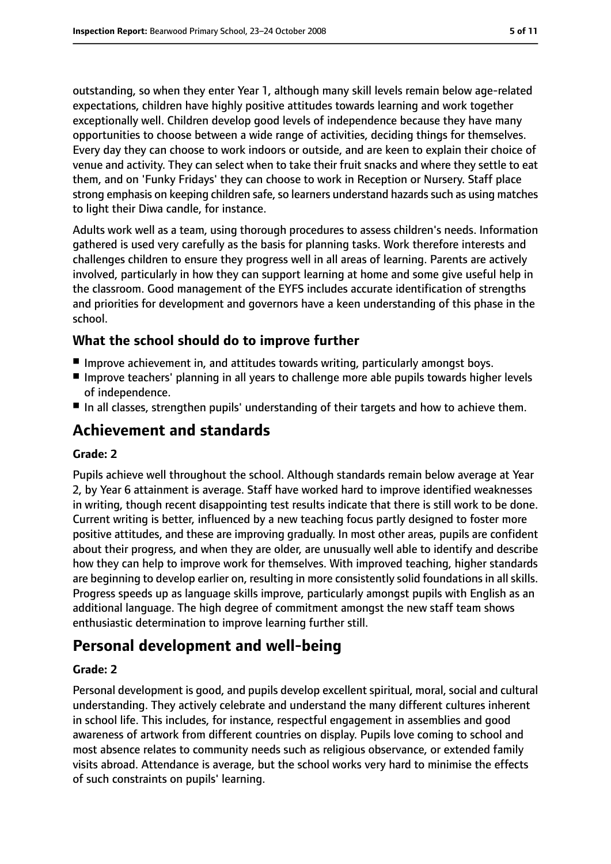outstanding, so when they enter Year 1, although many skill levels remain below age-related expectations, children have highly positive attitudes towards learning and work together exceptionally well. Children develop good levels of independence because they have many opportunities to choose between a wide range of activities, deciding things for themselves. Every day they can choose to work indoors or outside, and are keen to explain their choice of venue and activity. They can select when to take their fruit snacks and where they settle to eat them, and on 'Funky Fridays' they can choose to work in Reception or Nursery. Staff place strong emphasis on keeping children safe, so learners understand hazards such as using matches to light their Diwa candle, for instance.

Adults work well as a team, using thorough procedures to assess children's needs. Information gathered is used very carefully as the basis for planning tasks. Work therefore interests and challenges children to ensure they progress well in all areas of learning. Parents are actively involved, particularly in how they can support learning at home and some give useful help in the classroom. Good management of the EYFS includes accurate identification of strengths and priorities for development and governors have a keen understanding of this phase in the school.

#### **What the school should do to improve further**

- Improve achievement in, and attitudes towards writing, particularly amongst boys.
- Improve teachers' planning in all years to challenge more able pupils towards higher levels of independence.
- In all classes, strengthen pupils' understanding of their targets and how to achieve them.

### **Achievement and standards**

#### **Grade: 2**

Pupils achieve well throughout the school. Although standards remain below average at Year 2, by Year 6 attainment is average. Staff have worked hard to improve identified weaknesses in writing, though recent disappointing test results indicate that there is still work to be done. Current writing is better, influenced by a new teaching focus partly designed to foster more positive attitudes, and these are improving gradually. In most other areas, pupils are confident about their progress, and when they are older, are unusually well able to identify and describe how they can help to improve work for themselves. With improved teaching, higher standards are beginning to develop earlier on, resulting in more consistently solid foundations in all skills. Progress speeds up as language skills improve, particularly amongst pupils with English as an additional language. The high degree of commitment amongst the new staff team shows enthusiastic determination to improve learning further still.

### **Personal development and well-being**

#### **Grade: 2**

Personal development is good, and pupils develop excellent spiritual, moral, social and cultural understanding. They actively celebrate and understand the many different cultures inherent in school life. This includes, for instance, respectful engagement in assemblies and good awareness of artwork from different countries on display. Pupils love coming to school and most absence relates to community needs such as religious observance, or extended family visits abroad. Attendance is average, but the school works very hard to minimise the effects of such constraints on pupils' learning.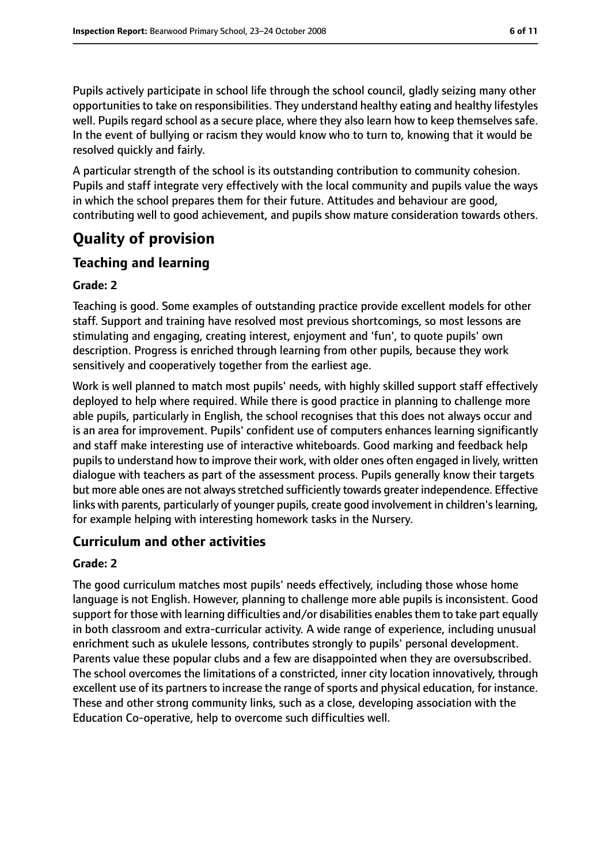Pupils actively participate in school life through the school council, gladly seizing many other opportunities to take on responsibilities. They understand healthy eating and healthy lifestyles well. Pupils regard school as a secure place, where they also learn how to keep themselves safe. In the event of bullying or racism they would know who to turn to, knowing that it would be resolved quickly and fairly.

A particular strength of the school is its outstanding contribution to community cohesion. Pupils and staff integrate very effectively with the local community and pupils value the ways in which the school prepares them for their future. Attitudes and behaviour are good, contributing well to good achievement, and pupils show mature consideration towards others.

## **Quality of provision**

#### **Teaching and learning**

#### **Grade: 2**

Teaching is good. Some examples of outstanding practice provide excellent models for other staff. Support and training have resolved most previous shortcomings, so most lessons are stimulating and engaging, creating interest, enjoyment and 'fun', to quote pupils' own description. Progress is enriched through learning from other pupils, because they work sensitively and cooperatively together from the earliest age.

Work is well planned to match most pupils' needs, with highly skilled support staff effectively deployed to help where required. While there is good practice in planning to challenge more able pupils, particularly in English, the school recognises that this does not always occur and is an area for improvement. Pupils' confident use of computers enhances learning significantly and staff make interesting use of interactive whiteboards. Good marking and feedback help pupils to understand how to improve their work, with older ones often engaged in lively, written dialogue with teachers as part of the assessment process. Pupils generally know their targets but more able ones are not always stretched sufficiently towards greater independence. Effective links with parents, particularly of younger pupils, create good involvement in children's learning, for example helping with interesting homework tasks in the Nursery.

#### **Curriculum and other activities**

#### **Grade: 2**

The good curriculum matches most pupils' needs effectively, including those whose home language is not English. However, planning to challenge more able pupils is inconsistent. Good support for those with learning difficulties and/or disabilities enables them to take part equally in both classroom and extra-curricular activity. A wide range of experience, including unusual enrichment such as ukulele lessons, contributes strongly to pupils' personal development. Parents value these popular clubs and a few are disappointed when they are oversubscribed. The school overcomes the limitations of a constricted, inner city location innovatively, through excellent use of its partners to increase the range of sports and physical education, for instance. These and other strong community links, such as a close, developing association with the Education Co-operative, help to overcome such difficulties well.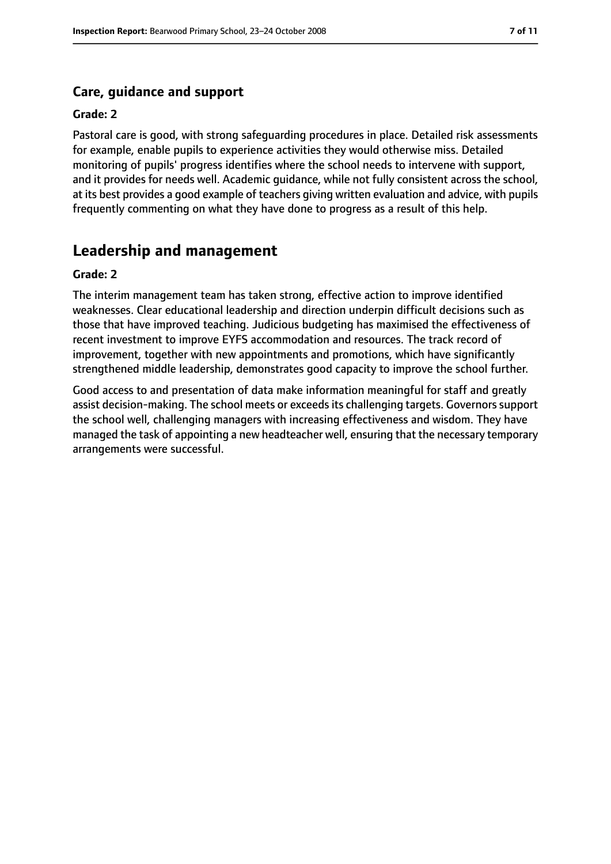#### **Care, guidance and support**

#### **Grade: 2**

Pastoral care is good, with strong safeguarding procedures in place. Detailed risk assessments for example, enable pupils to experience activities they would otherwise miss. Detailed monitoring of pupils' progress identifies where the school needs to intervene with support, and it provides for needs well. Academic guidance, while not fully consistent across the school, at its best provides a good example of teachers giving written evaluation and advice, with pupils frequently commenting on what they have done to progress as a result of this help.

#### **Leadership and management**

#### **Grade: 2**

The interim management team has taken strong, effective action to improve identified weaknesses. Clear educational leadership and direction underpin difficult decisions such as those that have improved teaching. Judicious budgeting has maximised the effectiveness of recent investment to improve EYFS accommodation and resources. The track record of improvement, together with new appointments and promotions, which have significantly strengthened middle leadership, demonstrates good capacity to improve the school further.

Good access to and presentation of data make information meaningful for staff and greatly assist decision-making. The school meets or exceeds its challenging targets. Governors support the school well, challenging managers with increasing effectiveness and wisdom. They have managed the task of appointing a new headteacher well, ensuring that the necessary temporary arrangements were successful.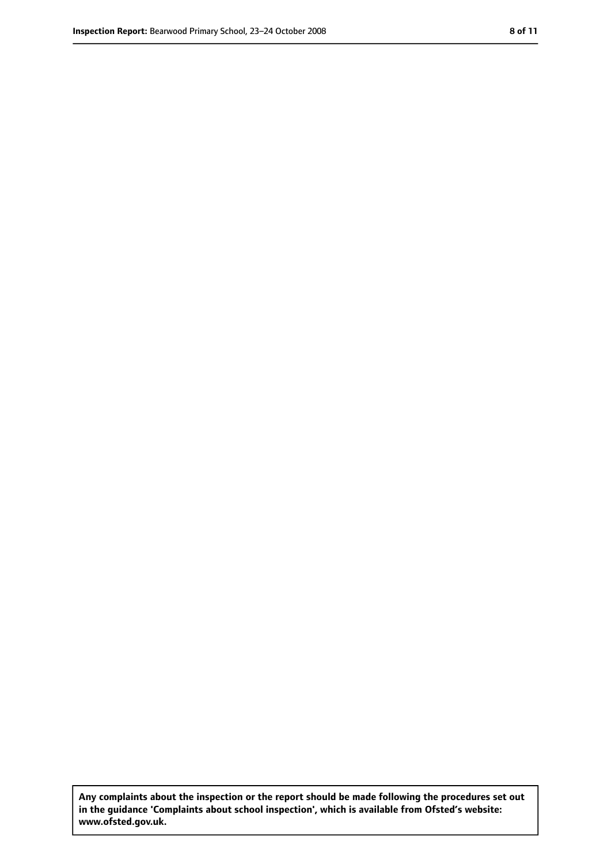**Any complaints about the inspection or the report should be made following the procedures set out in the guidance 'Complaints about school inspection', which is available from Ofsted's website: www.ofsted.gov.uk.**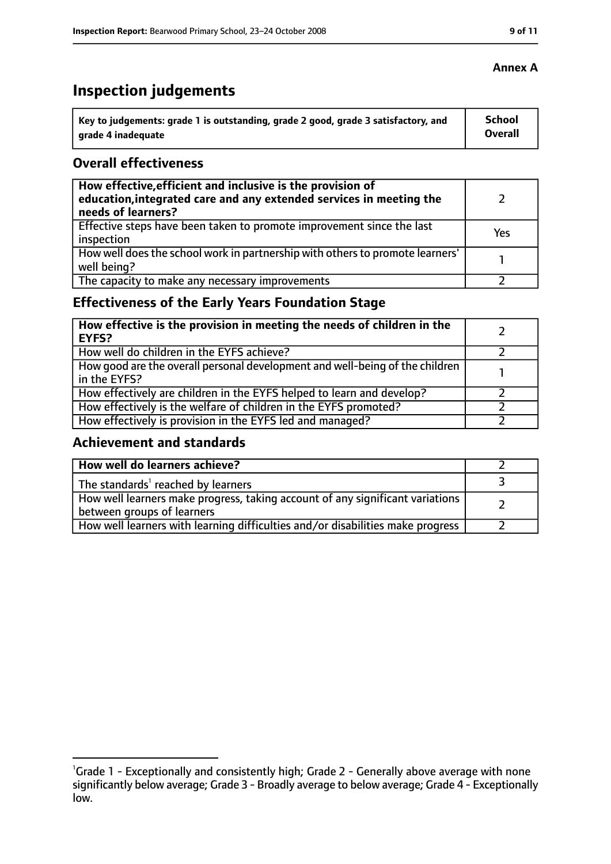### **Inspection judgements**

| Key to judgements: grade 1 is outstanding, grade 2 good, grade 3 satisfactory, and | <b>School</b>  |
|------------------------------------------------------------------------------------|----------------|
| arade 4 inadequate                                                                 | <b>Overall</b> |

#### **Overall effectiveness**

| How effective, efficient and inclusive is the provision of<br>education, integrated care and any extended services in meeting the<br>needs of learners? |     |
|---------------------------------------------------------------------------------------------------------------------------------------------------------|-----|
| Effective steps have been taken to promote improvement since the last<br>inspection                                                                     | Yes |
| How well does the school work in partnership with others to promote learners'<br>well being?                                                            |     |
| The capacity to make any necessary improvements                                                                                                         |     |

### **Effectiveness of the Early Years Foundation Stage**

| How effective is the provision in meeting the needs of children in the<br><b>EYFS?</b>       |  |
|----------------------------------------------------------------------------------------------|--|
| How well do children in the EYFS achieve?                                                    |  |
| How good are the overall personal development and well-being of the children<br>in the EYFS? |  |
| How effectively are children in the EYFS helped to learn and develop?                        |  |
| How effectively is the welfare of children in the EYFS promoted?                             |  |
| How effectively is provision in the EYFS led and managed?                                    |  |

#### **Achievement and standards**

| How well do learners achieve?                                                                               |  |
|-------------------------------------------------------------------------------------------------------------|--|
| The standards <sup>1</sup> reached by learners                                                              |  |
| How well learners make progress, taking account of any significant variations<br>between groups of learners |  |
| How well learners with learning difficulties and/or disabilities make progress                              |  |

#### **Annex A**

<sup>&</sup>lt;sup>1</sup>Grade 1 - Exceptionally and consistently high; Grade 2 - Generally above average with none significantly below average; Grade 3 - Broadly average to below average; Grade 4 - Exceptionally low.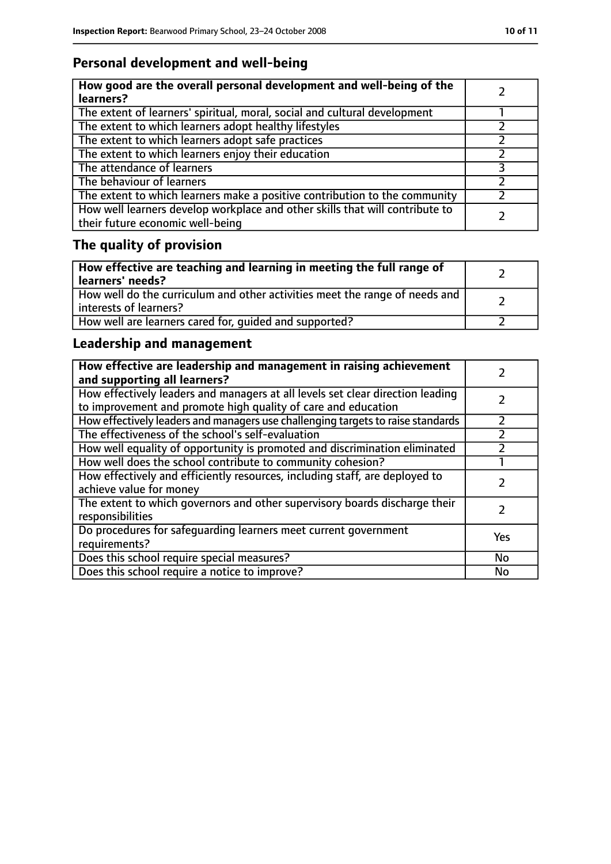### **Personal development and well-being**

| How good are the overall personal development and well-being of the<br>learners?                                 |  |
|------------------------------------------------------------------------------------------------------------------|--|
| The extent of learners' spiritual, moral, social and cultural development                                        |  |
| The extent to which learners adopt healthy lifestyles                                                            |  |
| The extent to which learners adopt safe practices                                                                |  |
| The extent to which learners enjoy their education                                                               |  |
| The attendance of learners                                                                                       |  |
| The behaviour of learners                                                                                        |  |
| The extent to which learners make a positive contribution to the community                                       |  |
| How well learners develop workplace and other skills that will contribute to<br>their future economic well-being |  |

### **The quality of provision**

| How effective are teaching and learning in meeting the full range of<br>learners' needs?              |  |
|-------------------------------------------------------------------------------------------------------|--|
| How well do the curriculum and other activities meet the range of needs and<br>interests of learners? |  |
| How well are learners cared for, quided and supported?                                                |  |

### **Leadership and management**

| How effective are leadership and management in raising achievement<br>and supporting all learners?                                              |     |
|-------------------------------------------------------------------------------------------------------------------------------------------------|-----|
| How effectively leaders and managers at all levels set clear direction leading<br>to improvement and promote high quality of care and education |     |
| How effectively leaders and managers use challenging targets to raise standards                                                                 |     |
| The effectiveness of the school's self-evaluation                                                                                               |     |
| How well equality of opportunity is promoted and discrimination eliminated                                                                      |     |
| How well does the school contribute to community cohesion?                                                                                      |     |
| How effectively and efficiently resources, including staff, are deployed to<br>achieve value for money                                          |     |
| The extent to which governors and other supervisory boards discharge their<br>responsibilities                                                  |     |
| Do procedures for safeguarding learners meet current government<br>requirements?                                                                | Yes |
| Does this school require special measures?                                                                                                      | No  |
| Does this school require a notice to improve?                                                                                                   | No  |